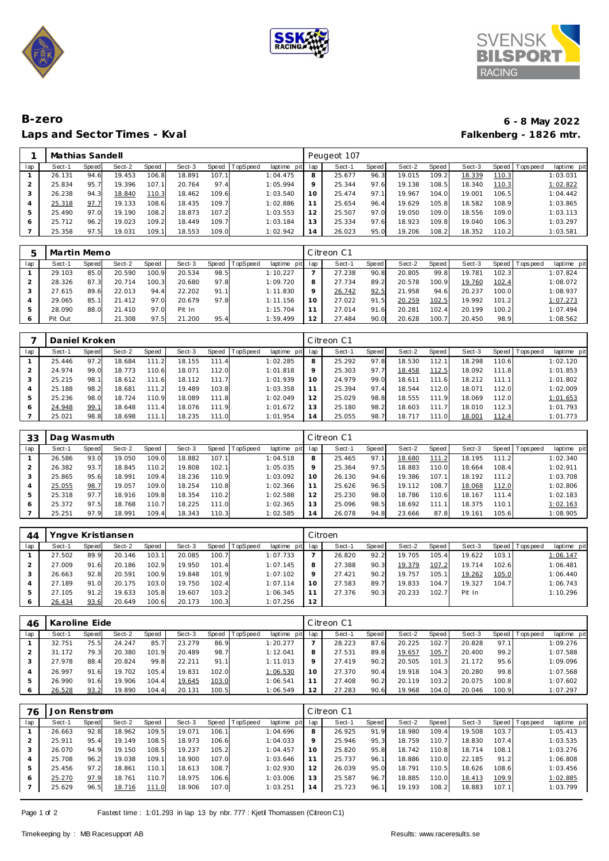





## B-zero Laps and Sector Times - Kval

## 6 - 8 May 2022 Falkenberg - 1826 mtr.

|     | Mathias Sandell |       |        |       |        |       |                |             |                 | Peugeot 107 |       |        |              |        |       |           |             |
|-----|-----------------|-------|--------|-------|--------|-------|----------------|-------------|-----------------|-------------|-------|--------|--------------|--------|-------|-----------|-------------|
| lap | Sect-1          | Speed | Sect-2 | Speed | Sect-3 |       | Speed TopSpeed | laptime pit | lap             | Sect-1      | Speed | Sect-2 | <b>Speed</b> | Sect-3 | Speed | Tops peed | laptime pit |
|     | 26.131          | 94.6  | 19.453 | 106.8 | 18.891 | 107.1 |                | 1:04.475    | 8               | 25.677      | 96.3  | 19.015 | 109.21       | 18.339 | 110.3 |           | 1:03.031    |
|     | 25.834          | 95.   | 19.396 | 107.1 | 20.764 | 97.4  |                | 1:05.994    | 9               | 25.344      | 97.6  | 19.138 | 108.5        | 18.340 | 110.3 |           | 1:02.822    |
| 3   | 26.238          | 94.3  | 18.840 | 110.3 | 18.462 | 109.6 |                | 1:03.540    | 10 <sup>°</sup> | 25.474      | 97.1  | 19.967 | 104.0        | 19.001 | 106.5 |           | 1:04.442    |
|     | 25.318          | 97.7  | 19.133 | 108.6 | 18.435 | 109.7 |                | 1:02.886    |                 | 25.654      | 96.4  | 19.629 | 105.8        | 18.582 | 108.9 |           | 1:03.865    |
| ь   | 25.490          | 97.0  | 19.190 | 108.2 | 18.873 | 107.2 |                | 1:03.553    | 12              | 25.507      | 97.0  | 19.050 | 109.0        | 18.556 | 109.0 |           | 1:03.113    |
| 6   | 25.712          | 96.2  | 19.023 | 109.2 | 18.449 | 109.7 |                | 1:03.184    | 13              | 25.334      | 97.6  | 18.923 | 109.8        | 19.040 | 106.3 |           | 1:03.297    |
|     | 25.358          | 97.5  | 19.031 | 109.1 | 18.553 | 109.0 |                | 1:02.942    | 14              | 26.023      | 95.C  | 19.206 | 108.2        | 18.352 | 110.2 |           | 1:03.581    |

| ᄃ   | Martin Memo |       |        |       |        |       |                 |             |         | Citreon C1 |       |        |       |        |       |                 |             |
|-----|-------------|-------|--------|-------|--------|-------|-----------------|-------------|---------|------------|-------|--------|-------|--------|-------|-----------------|-------------|
| lap | Sect-1      | Speed | Sect-2 | Speed | Sect-3 | Speed | <b>TopSpeed</b> | laptime pit | lap     | Sect-1     | Speed | Sect-2 | Speed | Sect-3 |       | Speed Tops peed | laptime pit |
|     | 29.103      | 85.0  | 20.590 | 100.9 | 20.534 | 98.5  |                 | 1:10.227    |         | 27.238     | 90.8  | 20.805 | 99.8  | 19.781 | 102.3 |                 | 1:07.824    |
|     | 28.326      | 87.3  | 20.714 | 100.3 | 20.680 | 97.8  |                 | 1:09.720    | 8       | 27.734     | 89.2  | 20.578 | 100.9 | 19.760 | 102.4 |                 | 1:08.072    |
| 3   | 27.615      | 89.6  | 22.013 | 94.4  | 22.202 | 91.1  |                 | 1:11.830    | $\circ$ | 26.742     | 92.5  | 21.958 | 94.6  | 20.237 | 100.0 |                 | 1:08.937    |
|     | 29.065      | 85.   | 21.412 | 97.0  | 20.679 | 97.8  |                 | 1:11.156    | 10      | 27.022     | 91.5  | 20.259 | 102.5 | 19.992 | 101.2 |                 | 1:07.273    |
| ь   | 28.090      | 88.0  | 21.410 | 97.0  | Pit In |       |                 | 1:15.704    |         | 27.014     | 91.6  | 20.281 | 102.4 | 20.199 | 100.2 |                 | 1:07.494    |
| 6   | Pit Out     |       | 21.308 | 97.5  | 21.200 | 95.4  |                 | 1:59.499    | 12      | 27.484     | 90.0  | 20.628 | 100.7 | 20.450 | 98.9  |                 | 1:08.562    |

|     | Daniel Kroken |       |        |       |        |       |          |             |         | Citreon C1 |       |        |       |        |       |                  |             |
|-----|---------------|-------|--------|-------|--------|-------|----------|-------------|---------|------------|-------|--------|-------|--------|-------|------------------|-------------|
| lap | Sect-1        | Speed | Sect-2 | Speed | Sect-3 | Speed | TopSpeed | laptime pit | lap     | Sect-1     | Speed | Sect-2 | Speed | Sect-3 | Speed | <b>Tops peed</b> | laptime pit |
|     | 25.446        | 97.2  | 18.684 | 111.2 | 18.155 | 111.4 |          | 1:02.285    | 8       | 25.292     | 97.8  | 18.530 | 112.1 | 18.298 | 110.6 |                  | 1:02.120    |
|     | 24.974        | 99.0  | 18.773 | 110.6 | 18.071 | 112.0 |          | 1:01.818    | $\circ$ | 25.303     | 97.7  | 18.458 | 112.5 | 18.092 | 111.8 |                  | 1:01.853    |
|     | 25.215        | 98.   | 18.612 | 111.6 | 18.112 | 111.7 |          | 1:01.939    | 10      | 24.979     | 99.0  | 18.611 | 111.6 | 18.212 | 111.1 |                  | 1:01.802    |
|     | 25.188        | 98.2  | 18.681 | 111.2 | 19.489 | 103.8 |          | 1:03.358    |         | 25.394     | 97.4  | 18.544 | 112.0 | 18.071 | 112.0 |                  | 1:02.009    |
| 5   | 25.236        | 98.0  | 18.724 | 110.9 | 18.089 | 111.8 |          | 1:02.049    | 12      | 25.029     | 98.8  | 18.555 | 111.9 | 18.069 | 112.0 |                  | 1:01.653    |
|     | 24.948        | 99.1  | 18.648 | 111.4 | 18.076 | 111.9 |          | 1:01.672    |         | 25.180     | 98.2  | 18.603 | 111.7 | 18.010 | 112.3 |                  | 1:01.793    |
|     | 25.021        | 98.8  | 18.698 | 111.1 | 18.235 | 111.0 |          | 1:01.954    | 14      | 25.055     | 98.7  | 18.717 | 111.0 | 18.001 | 112.4 |                  | 1:01.773    |

| 33  | Dag Wasmuth |       |        |                    |        |       |                 |                |     | Citreon C1 |       |        |       |        |         |            |             |
|-----|-------------|-------|--------|--------------------|--------|-------|-----------------|----------------|-----|------------|-------|--------|-------|--------|---------|------------|-------------|
| lap | Sect-1      | Speed | Sect-2 | Speed              | Sect-3 | Speed | <b>TopSpeed</b> | laptime<br>pit | lap | Sect-1     | Speed | Sect-2 | Speed | Sect-3 | Speed I | Tops pee d | laptime pit |
|     | 26.586      | 93.0  | 19.050 | 109.C              | 18.882 | 107.1 |                 | 1:04.518       | 8   | 25.465     | 97.1  | 18.680 | 111.2 | 18.195 | 111.2   |            | 1:02.340    |
|     | 26.382      | 93.7  | 18.845 | 110.2 <sub>1</sub> | 19.808 | 102.1 |                 | 1:05.035       |     | 25.364     | 97.5  | 18.883 | 110.0 | 18.664 | 108.4   |            | 1:02.911    |
|     | 25.865      | 95.6  | 18.991 | 109.4              | 18.236 | 110.9 |                 | 1:03.092       | 10  | 26.130     | 94.6  | 19.386 | 107.1 | 18.192 | 111.2   |            | 1:03.708    |
|     | 25.055      | 98.7  | 19.057 | 109.C              | 18.254 | 110.8 |                 | 1:02.366       |     | 25.626     | 96.5  | 19.112 | 108.7 | 18.068 | 112.0   |            | 1:02.806    |
|     | 25.318      | 97.7  | 18.916 | 109.8              | 18.354 | 110.2 |                 | 1:02.588       | 12  | 25.230     | 98.0  | 18.786 | 110.6 | 18.167 | 111.4   |            | 1:02.183    |
|     | 25.372      | 97.5  | 18.768 | 110.7              | 18.225 | 111.0 |                 | 1:02.365       | 13  | 25.096     | 98.5  | 18.692 | 111.1 | 18.375 | 110.1   |            | 1:02.163    |
|     | 25.251      | 97.9  | 18.991 | 109.4              | 18.343 | 110.3 |                 | 1:02.585       | 14  | 26.078     | 94.8  | 23.666 | 87.8  | 19.161 | 105.6   |            | 1:08.905    |

| 44  |        |       | Yngve Kristiansen |       |        |       |          |             |     | Citroen |       |        |       |        |       |                 |             |
|-----|--------|-------|-------------------|-------|--------|-------|----------|-------------|-----|---------|-------|--------|-------|--------|-------|-----------------|-------------|
| lap | Sect-1 | Speed | Sect-2            | Speed | Sect-3 | Speed | TopSpeed | laptime pit | lap | Sect-1  | Speed | Sect-2 | Speed | Sect-3 |       | Speed Tops peed | laptime pit |
|     | 27.502 | 89.9  | 20.146            | 103.1 | 20.085 | 100.7 |          | 1:07.733    |     | 26.820  | 92.2  | 19.705 | 105.4 | 19.622 | 103.1 |                 | 1:06.147    |
|     | 27.009 | 91.6  | 20.186            | 102.9 | 19.950 | 101.4 |          | 1:07.145    | 8   | 27.388  | 90.3  | 19.379 | 107.2 | 19.714 | 102.6 |                 | 1:06.481    |
|     | 26.663 | 92.8  | 20.591            | 100.9 | 19.848 | 101.9 |          | 1:07.102    | Q   | 27.421  | 90.2  | 19.757 | 105.1 | 19.262 | 105.0 |                 | 1:06.440    |
|     | 27.189 | 91.0  | 20.175            | 103.0 | 19.750 | 102.4 |          | 1:07.114    | 10  | 27.583  | 89.7  | 19.833 | 104.7 | 19.327 | 104.7 |                 | 1:06.743    |
|     | 27.105 | 91.2  | 19.633            | 105.8 | 19.607 | 103.2 |          | 1:06.345    |     | 27.376  | 90.3  | 20.233 | 102.7 | Pit In |       |                 | 1:10.296    |
|     | 26.434 | 93.6  | 20.649            | 100.6 | 20.173 | 100.3 |          | 1:07.256    | 12  |         |       |        |       |        |       |                 |             |

| 46      | Karoline Eide |       |        |       |        |       |                 |                 |     | Citreon C1 |              |        |       |        |       |                 |             |
|---------|---------------|-------|--------|-------|--------|-------|-----------------|-----------------|-----|------------|--------------|--------|-------|--------|-------|-----------------|-------------|
| lap     | Sect-1        | Speed | Sect-2 | Speed | Sect-3 | Speed | <b>TopSpeed</b> | laptime pit     | lap | Sect-1     | <b>Speed</b> | Sect-2 | Speed | Sect-3 |       | Speed Tops peed | laptime pit |
|         | 32.751        | 75.51 | 24.247 | 85.7  | 23.279 | 86.9  |                 | 1:20.277        |     | 28.223     | 87.6         | 20.225 | 102.7 | 20.828 | 97.1  |                 | 1:09.276    |
|         | 31.172        | 79.3  | 20.380 | 101.9 | 20.489 | 98.7  |                 | 1:12.041        |     | 27.531     | 89.8         | 19.657 | 105.7 | 20.400 | 99.2  |                 | 1:07.588    |
|         | 27.978        | 88.4  | 20.824 | 99.8  | 22.211 | 91.1  |                 | 1:11.013        |     | 27.419     | 90.2         | 20.505 | 101.3 | 21.172 | 95.6  |                 | 1:09.096    |
|         | 26.997        | 91.6  | 19.702 | 105.4 | 19.831 | 102.0 |                 | <u>1:06.530</u> | 10  | 27.370     | 90.4         | 19.918 | 104.3 | 20.280 | 99.8  |                 | 1:07.568    |
|         | 26.990        | 91.6  | 19.906 | 104.4 | 19.645 | 103.0 |                 | 1:06.541        |     | 27.408     | 90.2         | 20.119 | 103.2 | 20.075 | 100.8 |                 | 1:07.602    |
| $\circ$ | 26.528        | 93.2  | 19.890 | 104.4 | 20.131 | 100.5 |                 | 1:06.549        | 12  | 27.283     | 90.6         | 19.968 | 104.0 | 20.046 | 100.9 |                 | 1:07.297    |

| 76  | Jon Renstrøm |              |        |       |        |           |                 |             |         | Citreon C1 |       |        |       |        |       |                |             |
|-----|--------------|--------------|--------|-------|--------|-----------|-----------------|-------------|---------|------------|-------|--------|-------|--------|-------|----------------|-------------|
| lap | Sect-1       | <b>Speed</b> | Sect-2 | Speed | Sect-3 | Speed   T | <b>TopSpeed</b> | laptime pit | lap     | Sect-1     | Speed | Sect-2 | Speed | Sect-3 |       | Speed Topspeed | laptime pit |
|     | 26.663       | 92.8         | 18.962 | 109.5 | 19.071 | 106.1     |                 | 1:04.696    | 8       | 26.925     | 91.9  | 18.980 | 109.4 | 19.508 | 103.7 |                | 1:05.413    |
|     | 25.911       | 95.4         | 19.149 | 108.5 | 18.973 | 106.6     |                 | 1:04.033    | $\circ$ | 25.946     | 95.3  | 18.759 | 110.7 | 18.830 | 107.4 |                | 1:03.535    |
|     | 26.070       | 94.9         | 19.150 | 108.5 | 19.237 | 105.2     |                 | 1:04.457    | 10      | 25.820     | 95.8  | 18.742 | 110.8 | 18.714 | 108.1 |                | 1:03.276    |
|     | 25.708       | 96.2         | 19.038 | 109.1 | 18.900 | 107.0     |                 | 1:03.646    |         | 25.737     | 96.1  | 18.886 | 110.0 | 22.185 | 91.2  |                | 1:06.808    |
|     | 25.456       | 97.2         | 18.861 | 110.1 | 18.613 | 108.7     |                 | 1:02.930    |         | 26.039     | 95.0  | 18.791 | 110.5 | 18.626 | 108.6 |                | 1:03.456    |
|     | 25.270       | 97.9         | 18.761 | 110.7 | 18.975 | 106.6     |                 | 1:03.006    | 13      | 25.587     | 96.7  | 18.885 | 110.0 | 18.413 | 109.9 |                | 1:02.885    |
|     | 25.629       | 96.5         | 18.716 | 111.0 | 18.906 | 107.0     |                 | 1:03.251    | 14      | 25.723     | 96.1  | 19.193 | 108.2 | 18.883 | 107.1 |                | 1:03.799    |

Page 1 of 2 Fastest time: 1:01.293 in lap 13 by nbr. 777: Kjetil Thomassen (Citreon C1)